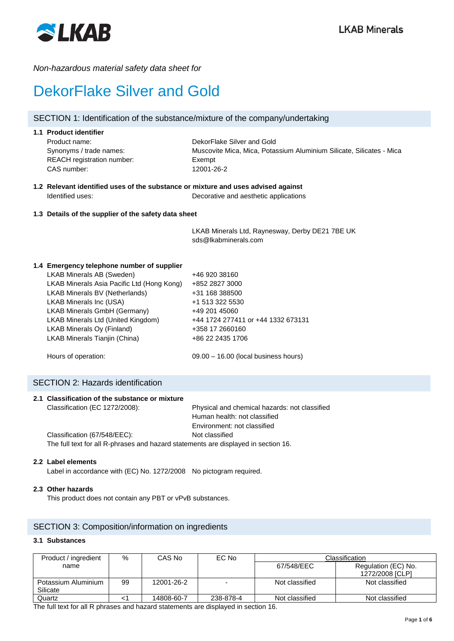

## *Non-hazardous material safety data sheet for*

# DekorFlake Silver and Gold

## SECTION 1: Identification of the substance/mixture of the company/undertaking

| DekorFlake Silver and Gold                                           |
|----------------------------------------------------------------------|
|                                                                      |
| Muscovite Mica, Mica, Potassium Aluminium Silicate, Silicates - Mica |
| Exempt                                                               |
| 12001-26-2                                                           |
|                                                                      |

## **1.2 Relevant identified uses of the substance or mixture and uses advised against** Identified uses: Decorative and aesthetic applications

## **1.3 Details of the supplier of the safety data sheet**

LKAB Minerals Ltd, Raynesway, Derby DE21 7BE UK sds@lkabminerals.com

## **1.4 Emergency telephone number of supplier**

| LKAB Minerals AB (Sweden)                  | +46 920 38160                          |
|--------------------------------------------|----------------------------------------|
| LKAB Minerals Asia Pacific Ltd (Hong Kong) | +852 2827 3000                         |
| <b>LKAB Minerals BV (Netherlands)</b>      | +31 168 388500                         |
| LKAB Minerals Inc (USA)                    | +1 513 322 5530                        |
| LKAB Minerals GmbH (Germany)               | +49 201 45060                          |
| LKAB Minerals Ltd (United Kingdom)         | +44 1724 277411 or +44 1332 673131     |
| LKAB Minerals Oy (Finland)                 | +358 17 2660160                        |
| LKAB Minerals Tianjin (China)              | +86 22 2435 1706                       |
|                                            |                                        |
| Hours of operation:                        | $09.00 - 16.00$ (local business hours) |

## SECTION 2: Hazards identification

|  | 2.1 Classification of the substance or mixture                                     |                                               |
|--|------------------------------------------------------------------------------------|-----------------------------------------------|
|  | Classification (EC 1272/2008):                                                     | Physical and chemical hazards: not classified |
|  |                                                                                    | Human health: not classified                  |
|  |                                                                                    | Environment: not classified                   |
|  | Classification (67/548/EEC):                                                       | Not classified                                |
|  | The full text for all R-phrases and hazard statements are displayed in section 16. |                                               |

## **2.2 Label elements**

Label in accordance with (EC) No. 1272/2008 No pictogram required.

## **2.3 Other hazards**

This product does not contain any PBT or vPvB substances.

## SECTION 3: Composition/information on ingredients

#### **3.1 Substances**

| Product / ingredient | %  | CAS No     | EC No     |                | Classification      |
|----------------------|----|------------|-----------|----------------|---------------------|
| name                 |    |            |           | 67/548/EEC     | Regulation (EC) No. |
|                      |    |            |           |                | 1272/2008 [CLP]     |
| Potassium Aluminium  | 99 | 12001-26-2 |           | Not classified | Not classified      |
| Silicate             |    |            |           |                |                     |
| Quartz               |    | 14808-60-7 | 238-878-4 | Not classified | Not classified      |

The full text for all R phrases and hazard statements are displayed in section 16.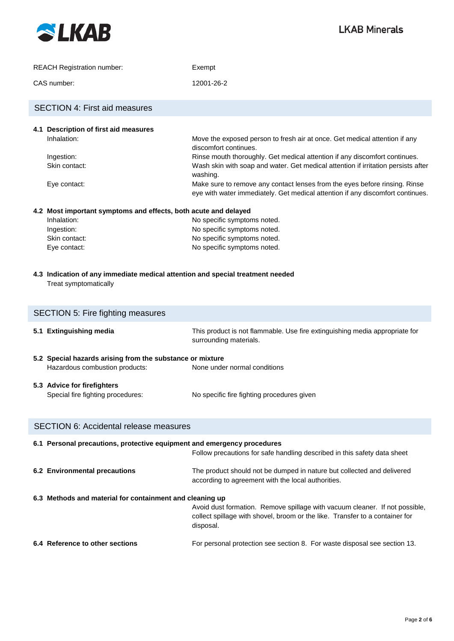

| <b>REACH Registration number:</b> | Exempt     |
|-----------------------------------|------------|
| CAS number:                       | 12001-26-2 |

# **4.1 Description of first aid measures** Inhalation: Move the exposed person to fresh air at once. Get medical attention if any discomfort continues. Ingestion: **Rinse mouth thoroughly. Get medical attention if any discomfort continues.** Skin contact: Wash skin with soap and water. Get medical attention if irritation persists after washing. Eye contact: Make sure to remove any contact lenses from the eyes before rinsing. Rinse eye with water immediately. Get medical attention if any discomfort continues. **4.2 Most important symptoms and effects, both acute and delayed** SECTION 4: First aid measures

| Inhalation:   | No specific symptoms noted. |
|---------------|-----------------------------|
| Ingestion:    | No specific symptoms noted. |
| Skin contact: | No specific symptoms noted. |
| Eye contact:  | No specific symptoms noted. |
|               |                             |

**4.3 Indication of any immediate medical attention and special treatment needed** Treat symptomatically

| <b>SECTION 5: Fire fighting measures</b> |                                                                                             |                                                                                                       |  |  |
|------------------------------------------|---------------------------------------------------------------------------------------------|-------------------------------------------------------------------------------------------------------|--|--|
| 5.1                                      | <b>Extinguishing media</b>                                                                  | This product is not flammable. Use fire extinguishing media appropriate for<br>surrounding materials. |  |  |
|                                          | 5.2 Special hazards arising from the substance or mixture<br>Hazardous combustion products: | None under normal conditions                                                                          |  |  |
|                                          | 5.3 Advice for firefighters<br>Special fire fighting procedures:                            | No specific fire fighting procedures given                                                            |  |  |

| <b>SECTION 6: Accidental release measures</b>                           |                                                                                                                                                                          |
|-------------------------------------------------------------------------|--------------------------------------------------------------------------------------------------------------------------------------------------------------------------|
| 6.1 Personal precautions, protective equipment and emergency procedures | Follow precautions for safe handling described in this safety data sheet                                                                                                 |
| 6.2 Environmental precautions                                           | The product should not be dumped in nature but collected and delivered<br>according to agreement with the local authorities.                                             |
| 6.3 Methods and material for containment and cleaning up                | Avoid dust formation. Remove spillage with vacuum cleaner. If not possible,<br>collect spillage with shovel, broom or the like. Transfer to a container for<br>disposal. |
| 6.4 Reference to other sections                                         | For personal protection see section 8. For waste disposal see section 13.                                                                                                |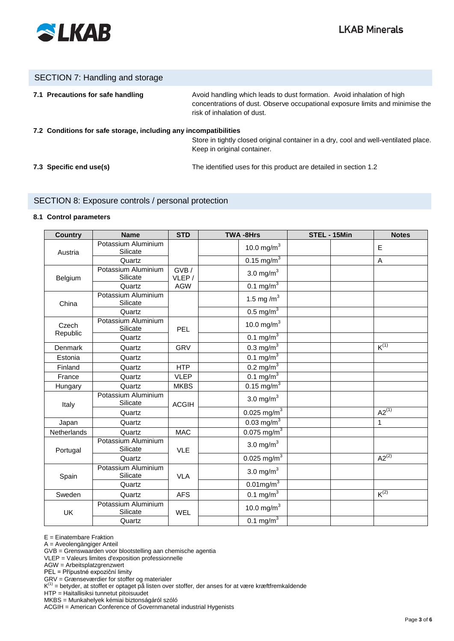

## SECTION 7: Handling and storage

| 7.1 Precautions for safe handling                                | Avoid handling which leads to dust formation. Avoid inhalation of high<br>concentrations of dust. Observe occupational exposure limits and minimise the<br>risk of inhalation of dust. |
|------------------------------------------------------------------|----------------------------------------------------------------------------------------------------------------------------------------------------------------------------------------|
| 7.2 Conditions for safe storage, including any incompatibilities | Store in tightly closed original container in a dry, cool and well-ventilated place.<br>Keep in original container.                                                                    |
| 7.3 Specific end use(s)                                          | The identified uses for this product are detailed in section 1.2                                                                                                                       |

## SECTION 8: Exposure controls / personal protection

#### **8.1 Control parameters**

| <b>Country</b>     | <b>Name</b>                     | <b>STD</b>    | <b>TWA-8Hrs</b>           | STEL - 15Min | <b>Notes</b> |
|--------------------|---------------------------------|---------------|---------------------------|--------------|--------------|
| Austria            | Potassium Aluminium<br>Silicate |               | 10.0 mg/m $^{3}$          |              | E            |
|                    | Quartz                          |               | $0.15 \text{ mg/m}^3$     |              | A            |
| Belgium            | Potassium Aluminium<br>Silicate | GVB/<br>VLEP/ | 3.0 mg/ $m3$              |              |              |
|                    | Quartz                          | <b>AGW</b>    | $0.1 \text{ mg/m}^3$      |              |              |
| China              | Potassium Aluminium<br>Silicate |               | 1.5 mg/m <sup>3</sup>     |              |              |
|                    | Quartz                          |               | $0.5 \text{ mg/m}^3$      |              |              |
| Czech              | Potassium Aluminium<br>Silicate | <b>PEL</b>    | 10.0 mg/m $^{3}$          |              |              |
| Republic           | Quartz                          |               | $0.1 \text{ mg/m}^3$      |              |              |
| Denmark            | Quartz                          | <b>GRV</b>    | $0.3 \text{ mg/m}^3$      |              | $K^{(1)}$    |
| Estonia            | Quartz                          |               | $0.1 \text{ mg/m}^3$      |              |              |
| Finland            | Quartz                          | <b>HTP</b>    | $0.2 \overline{mg/m}^3$   |              |              |
| France             | Quartz                          | <b>VLEP</b>   | 0.1 mg/m $^{3}$           |              |              |
| Hungary            | Quartz                          | <b>MKBS</b>   | $0.15 \,\mathrm{mg/m}^3$  |              |              |
| Italy              | Potassium Aluminium<br>Silicate | <b>ACGIH</b>  | 3.0 mg/ $m3$              |              |              |
|                    | Quartz                          |               | $0.025$ mg/m <sup>3</sup> |              | $A2^{(1)}$   |
| Japan              | Quartz                          |               | $0.03$ mg/m <sup>3</sup>  |              | 1            |
| <b>Netherlands</b> | Quartz                          | <b>MAC</b>    | 0.075 mg/m <sup>3</sup>   |              |              |
| Portugal           | Potassium Aluminium<br>Silicate | <b>VLE</b>    | 3.0 mg/ $m3$              |              |              |
|                    | Quartz                          |               | $0.025 \text{ mg/m}^3$    |              | $A2^{(2)}$   |
| Spain              | Potassium Aluminium<br>Silicate | <b>VLA</b>    | 3.0 mg/ $m3$              |              |              |
|                    | Quartz                          |               | $0.01$ mg/m <sup>3</sup>  |              |              |
| Sweden             | Quartz                          | <b>AFS</b>    | 0.1 mg/m $^{3}$           |              | $K^{(2)}$    |
| UK                 | Potassium Aluminium<br>Silicate | WEL           | 10.0 mg/m $^{3}$          |              |              |
|                    | Quartz                          |               | 0.1 mg/m $\frac{3}{3}$    |              |              |

E = Einatembare Fraktion

A = Aveolengängiger Anteil

GVB = Grenswaarden voor blootstelling aan chemische agentia

VLEP = Valeurs limites d'exposition professionnelle

AGW = Arbeitsplatzgrenzwert

PEL = Přípustné expoziční limity

GRV = Grænseværdier for stoffer og materialer

 $K^{(1)}$  = betyder, at stoffet er optaget på listen over stoffer, der anses for at være kræftfremkaldende

HTP = Haitallisiksi tunnetut pitoisuudet

MKBS = Munkahelyek kémiai biztonságáról szóló

ACGIH = American Conference of Governmanetal industrial Hygenists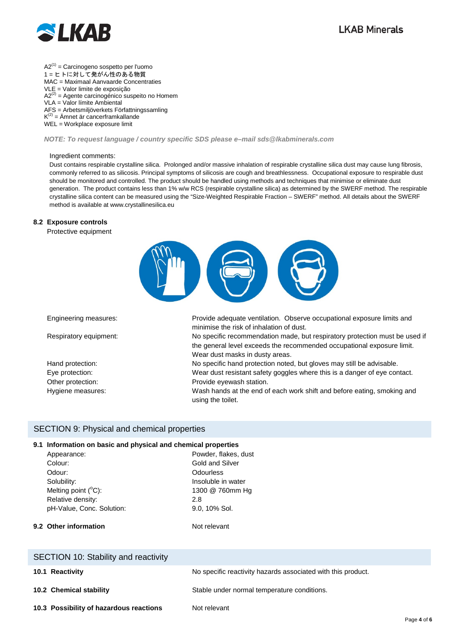

 $A2^{(1)} =$  Carcinogeno sospetto per l'uomo 1 = ヒトに対して発がん性のある物質 MAC = Maximaal Aanvaarde Concentraties VLE = Valor limite de exposição  $A2^{(2)}$  = Agente carcinogénico suspeito no Homem VLA = Valor límite Ambiental AFS = Arbetsmiljöverkets Författningssamling  $K^{(2)} =$ Ämnet är cancerframkallande WEL = Workplace exposure limit

#### *NOTE: To request language / country specific SDS please e–mail sds@lkabminerals.com*

#### Ingredient comments:

Dust contains respirable crystalline silica. Prolonged and/or massive inhalation of respirable crystalline silica dust may cause lung fibrosis. commonly referred to as silicosis. Principal symptoms of silicosis are cough and breathlessness. Occupational exposure to respirable dust should be monitored and controlled. The product should be handled using methods and techniques that minimise or eliminate dust generation. The product contains less than 1% w/w RCS (respirable crystalline silica) as determined by the SWERF method. The respirable crystalline silica content can be measured using the "Size-Weighted Respirable Fraction – SWERF" method. All details about the SWERF method is available at www.crystallinesilica.eu

#### **8.2 Exposure controls**

Protective equipment



Engineering measures: Provide adequate ventilation. Observe occupational exposure limits and minimise the risk of inhalation of dust. Respiratory equipment: No specific recommendation made, but respiratory protection must be used if the general level exceeds the recommended occupational exposure limit.

Wear dust masks in dusty areas. Hand protection: No specific hand protection noted, but gloves may still be advisable. Eye protection: Wear dust resistant safety goggles where this is a danger of eye contact. Other protection: Provide eyewash station.

Hygiene measures: Wash hands at the end of each work shift and before eating, smoking and using the toilet.

#### SECTION 9: Physical and chemical properties

#### **9.1 Information on basic and physical and chemical properties**

Appearance: Powder, flakes, dust Colour: Colour: Gold and Silver Odour: Colourless Solubility: Insoluble in water Melting point  $(^{\circ}C)$ : C): 1300 @ 760mm Hg Relative density: 2.8 pH-Value, Conc. Solution: 9.0, 10% Sol.

**9.2 Other information** Not relevant

| SECTION 10: Stability and reactivity    |                                                              |
|-----------------------------------------|--------------------------------------------------------------|
| 10.1 Reactivity                         | No specific reactivity hazards associated with this product. |
| 10.2 Chemical stability                 | Stable under normal temperature conditions.                  |
| 10.3 Possibility of hazardous reactions | Not relevant                                                 |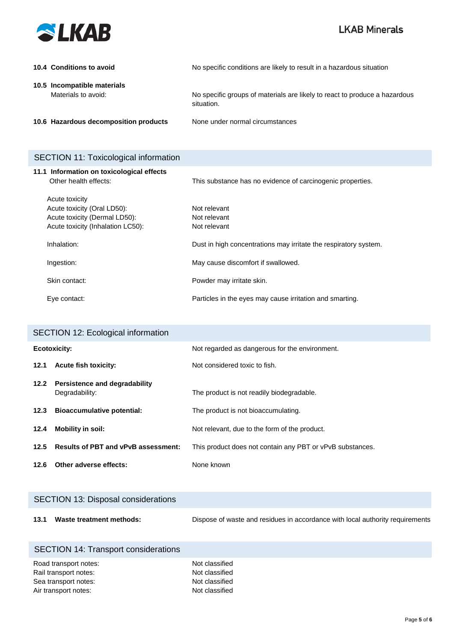

| 10.4 Conditions to avoid                           | No specific conditions are likely to result in a hazardous situation                     |
|----------------------------------------------------|------------------------------------------------------------------------------------------|
| 10.5 Incompatible materials<br>Materials to avoid: | No specific groups of materials are likely to react to produce a hazardous<br>situation. |
| 10.6 Hazardous decomposition products              | None under normal circumstances                                                          |

# SECTION 11: Toxicological information

| 11.1 Information on toxicological effects |                                                                  |
|-------------------------------------------|------------------------------------------------------------------|
| Other health effects:                     | This substance has no evidence of carcinogenic properties.       |
|                                           |                                                                  |
| Acute toxicity                            |                                                                  |
| Acute toxicity (Oral LD50):               | Not relevant                                                     |
| Acute toxicity (Dermal LD50):             | Not relevant                                                     |
| Acute toxicity (Inhalation LC50):         | Not relevant                                                     |
| Inhalation:                               | Dust in high concentrations may irritate the respiratory system. |
| Ingestion:                                | May cause discomfort if swallowed.                               |
| Skin contact:                             | Powder may irritate skin.                                        |
| Eye contact:                              | Particles in the eyes may cause irritation and smarting.         |

| <b>SECTION 12: Ecological information</b> |                                                 |                                                           |
|-------------------------------------------|-------------------------------------------------|-----------------------------------------------------------|
| Ecotoxicity:                              |                                                 | Not regarded as dangerous for the environment.            |
| 12.1                                      | <b>Acute fish toxicity:</b>                     | Not considered toxic to fish.                             |
| 12.2                                      | Persistence and degradability<br>Degradability: | The product is not readily biodegradable.                 |
| 12.3                                      | <b>Bioaccumulative potential:</b>               | The product is not bioaccumulating.                       |
| 12.4                                      | Mobility in soil:                               | Not relevant, due to the form of the product.             |
| 12.5                                      | <b>Results of PBT and vPvB assessment:</b>      | This product does not contain any PBT or vPvB substances. |
| 12.6                                      | Other adverse effects:                          | None known                                                |

|      | <b>SECTION 13: Disposal considerations</b> |                                                                               |
|------|--------------------------------------------|-------------------------------------------------------------------------------|
| 13.1 | Waste treatment methods:                   | Dispose of waste and residues in accordance with local authority requirements |

| SECTION 14: Transport considerations |                |
|--------------------------------------|----------------|
| Road transport notes:                | Not classified |

| Rail transport notes: |
|-----------------------|
| Sea transport notes:  |
| Air transport notes:  |

Not classified Not classified Not classified